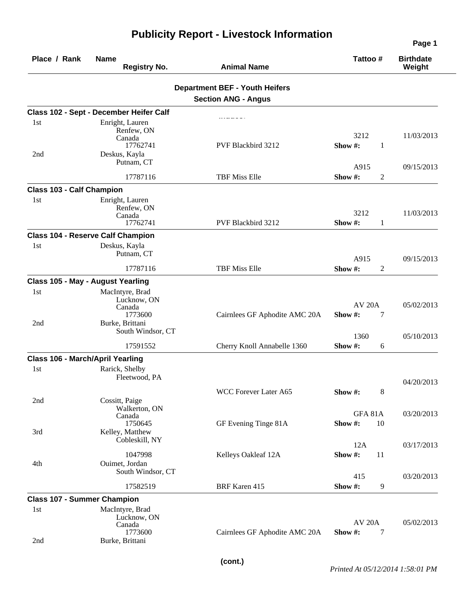| Place / Rank                            | <b>Name</b><br><b>Registry No.</b>       | <b>Animal Name</b>                    |                | Tattoo#          | <b>Birthdate</b><br>Weight |
|-----------------------------------------|------------------------------------------|---------------------------------------|----------------|------------------|----------------------------|
|                                         |                                          | <b>Department BEF - Youth Heifers</b> |                |                  |                            |
|                                         |                                          | <b>Section ANG - Angus</b>            |                |                  |                            |
|                                         | Class 102 - Sept - December Heifer Calf  |                                       |                |                  |                            |
| 1st                                     | Enright, Lauren                          |                                       |                |                  |                            |
|                                         | Renfew, ON<br>Canada                     |                                       | 3212           |                  | 11/03/2013                 |
|                                         | 17762741                                 | PVF Blackbird 3212                    | Show #:        | 1                |                            |
| 2nd                                     | Deskus, Kayla                            |                                       |                |                  |                            |
|                                         | Putnam, CT                               |                                       | A915           |                  | 09/15/2013                 |
|                                         | 17787116                                 | <b>TBF Miss Elle</b>                  | Show #:        | $\boldsymbol{2}$ |                            |
| <b>Class 103 - Calf Champion</b>        |                                          |                                       |                |                  |                            |
| 1st                                     | Enright, Lauren                          |                                       |                |                  |                            |
|                                         | Renfew, ON                               |                                       | 3212           |                  | 11/03/2013                 |
|                                         | Canada<br>17762741                       | PVF Blackbird 3212                    | Show#:         | $\mathbf{1}$     |                            |
|                                         | <b>Class 104 - Reserve Calf Champion</b> |                                       |                |                  |                            |
| 1st                                     | Deskus, Kayla                            |                                       |                |                  |                            |
|                                         | Putnam, CT                               |                                       | A915           |                  | 09/15/2013                 |
|                                         | 17787116                                 | <b>TBF Miss Elle</b><br>Show #:       | $\overline{c}$ |                  |                            |
|                                         | <b>Class 105 - May - August Yearling</b> |                                       |                |                  |                            |
| 1st                                     | MacIntyre, Brad                          |                                       |                |                  |                            |
|                                         | Lucknow, ON                              |                                       | <b>AV 20A</b>  |                  | 05/02/2013                 |
|                                         | Canada<br>1773600                        | Cairnlees GF Aphodite AMC 20A         | Show #:        | 7                |                            |
| 2nd                                     | Burke, Brittani                          |                                       |                |                  |                            |
|                                         | South Windsor, CT                        |                                       | 1360           |                  | 05/10/2013                 |
|                                         | 17591552                                 | Cherry Knoll Annabelle 1360           | Show #:        | 6                |                            |
| <b>Class 106 - March/April Yearling</b> |                                          |                                       |                |                  |                            |
| 1st                                     | Rarick, Shelby                           |                                       |                |                  |                            |
|                                         | Fleetwood, PA                            |                                       |                |                  | 04/20/2013                 |
|                                         |                                          | WCC Forever Later A65<br>Show #:      | $8\,$          |                  |                            |
| 2nd                                     | Cossitt, Paige                           |                                       |                |                  |                            |
|                                         | Walkerton, ON<br>Canada                  |                                       |                | <b>GFA 81A</b>   | 03/20/2013                 |
|                                         | 1750645                                  | GF Evening Tinge 81A                  | Show#:         | 10               |                            |
| 3rd                                     | Kelley, Matthew<br>Cobleskill, NY        |                                       |                |                  |                            |
|                                         |                                          |                                       | 12A            |                  | 03/17/2013                 |
|                                         | 1047998                                  | Kelleys Oakleaf 12A                   | Show #:        | 11               |                            |
| 4th                                     | Ouimet, Jordan<br>South Windsor, CT      |                                       |                |                  |                            |
|                                         |                                          |                                       | 415            |                  | 03/20/2013                 |
|                                         | 17582519                                 | <b>BRF</b> Karen 415                  | Show #:        | 9                |                            |
| <b>Class 107 - Summer Champion</b>      |                                          |                                       |                |                  |                            |
| 1st                                     | MacIntyre, Brad<br>Lucknow, ON           |                                       |                |                  |                            |
|                                         | Canada                                   |                                       | <b>AV 20A</b>  |                  | 05/02/2013                 |
| 2nd                                     | 1773600<br>Burke, Brittani               | Cairnlees GF Aphodite AMC 20A         | Show #:        | 7                |                            |
|                                         |                                          |                                       |                |                  |                            |

## **Publicity Report - Livestock Information**

**Page 1**